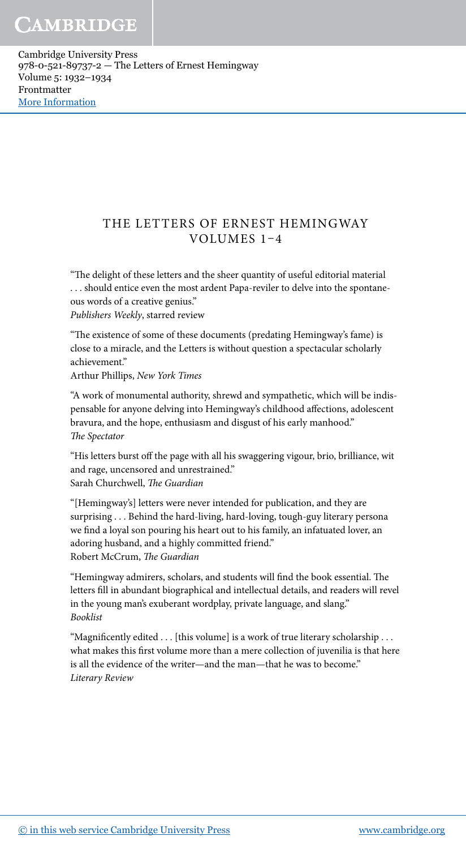## THE LETTERS OF ERNEST HEMINGWAY VOLUMES 1–4

"he delight of these letters and the sheer quantity of useful editorial material . . . should entice even the most ardent Papa-reviler to delve into the spontaneous words of a creative genius." Publishers Weekly, starred review

"he existence of some of these documents (predating Hemingway's fame) is close to a miracle, and the Letters is without question a spectacular scholarly achievement."

Arthur Phillips, New York Times

"A work of monumental authority, shrewd and sympathetic, which will be indispensable for anyone delving into Hemingway's childhood afections, adolescent bravura, and the hope, enthusiasm and disgust of his early manhood." he Spectator

"His letters burst off the page with all his swaggering vigour, brio, brilliance, wit and rage, uncensored and unrestrained." Sarah Churchwell, The Guardian

"[Hemingway's] letters were never intended for publication, and they are surprising . . . Behind the hard-living, hard-loving, tough-guy literary persona we find a loyal son pouring his heart out to his family, an infatuated lover, an adoring husband, and a highly committed friend." Robert McCrum, The Guardian

"Hemingway admirers, scholars, and students will find the book essential. The letters fill in abundant biographical and intellectual details, and readers will revel in the young man's exuberant wordplay, private language, and slang." Booklist

"Magnificently edited . . . [this volume] is a work of true literary scholarship . . . what makes this first volume more than a mere collection of juvenilia is that here is all the evidence of the writer—and the man—that he was to become." Literary Review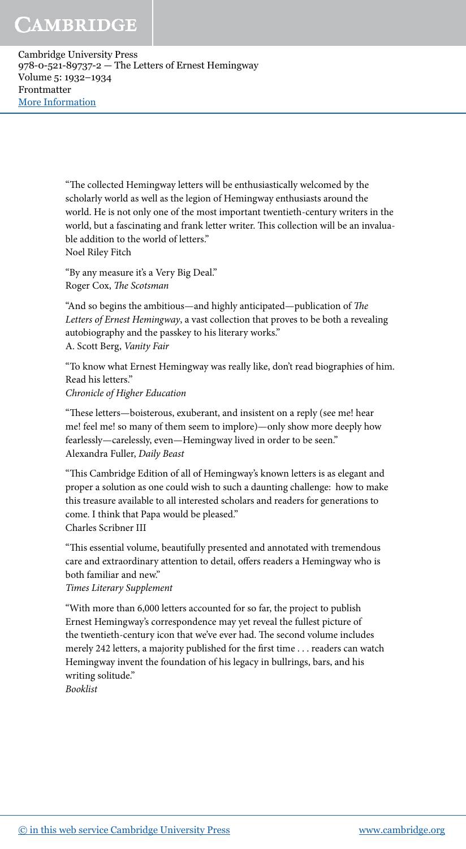Cambridge University Press 978-0-521-89737-2 — The Letters of Ernest Hemingway Volume 5: 1932–1934 Frontmatter [More Information](www.cambridge.org/9780521897372)

> "he collected Hemingway letters will be enthusiastically welcomed by the scholarly world as well as the legion of Hemingway enthusiasts around the world. He is not only one of the most important twentieth-century writers in the world, but a fascinating and frank letter writer. This collection will be an invaluable addition to the world of letters." Noel Riley Fitch

"By any measure it's a Very Big Deal." Roger Cox, The Scotsman

"And so begins the ambitious—and highly anticipated—publication of The Letters of Ernest Hemingway, a vast collection that proves to be both a revealing autobiography and the passkey to his literary works." A. Scott Berg, Vanity Fair

"To know what Ernest Hemingway was really like, don't read biographies of him. Read his letters."

Chronicle of Higher Education

"hese letters—boisterous, exuberant, and insistent on a reply (see me! hear me! feel me! so many of them seem to implore)—only show more deeply how fearlessly—carelessly, even—Hemingway lived in order to be seen." Alexandra Fuller, Daily Beast

"his Cambridge Edition of all of Hemingway's known letters is as elegant and proper a solution as one could wish to such a daunting challenge: how to make this treasure available to all interested scholars and readers for generations to come. I think that Papa would be pleased." Charles Scribner III

"his essential volume, beautifully presented and annotated with tremendous care and extraordinary attention to detail, offers readers a Hemingway who is both familiar and new."

Times Literary Supplement

"With more than 6,000 letters accounted for so far, the project to publish Ernest Hemingway's correspondence may yet reveal the fullest picture of the twentieth-century icon that we've ever had. The second volume includes merely 242 letters, a majority published for the first time . . . readers can watch Hemingway invent the foundation of his legacy in bullrings, bars, and his writing solitude."

Booklist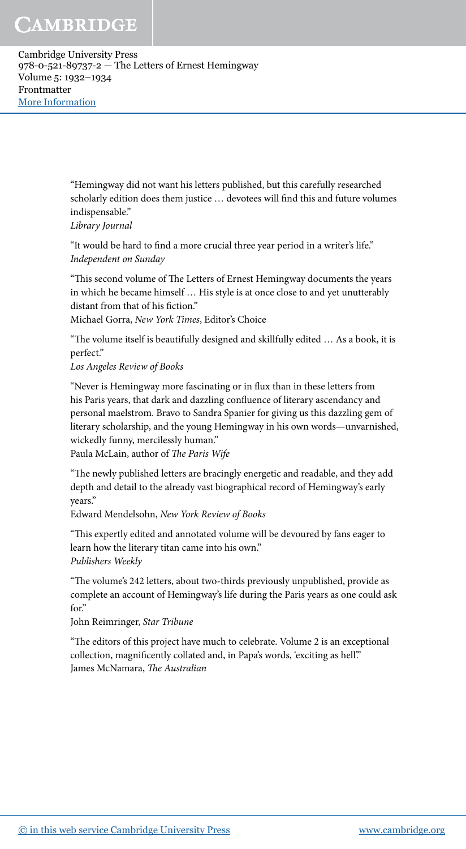Cambridge University Press 978-0-521-89737-2 — The Letters of Ernest Hemingway Volume 5: 1932–1934 Frontmatter [More Information](www.cambridge.org/9780521897372)

> "Hemingway did not want his letters published, but this carefully researched scholarly edition does them justice ... devotees will find this and future volumes indispensable." Library Journal

"It would be hard to find a more crucial three year period in a writer's life." Independent on Sunday

"This second volume of The Letters of Ernest Hemingway documents the years in which he became himself … His style is at once close to and yet unutterably distant from that of his fiction."

Michael Gorra, New York Times, Editor's Choice

"he volume itself is beautifully designed and skillfully edited … As a book, it is perfect."

Los Angeles Review of Books

"Never is Hemingway more fascinating or in lux than in these letters from his Paris years, that dark and dazzling confluence of literary ascendancy and personal maelstrom. Bravo to Sandra Spanier for giving us this dazzling gem of literary scholarship, and the young Hemingway in his own words—unvarnished, wickedly funny, mercilessly human."

Paula McLain, author of The Paris Wife

"he newly published letters are bracingly energetic and readable, and they add depth and detail to the already vast biographical record of Hemingway's early years."

Edward Mendelsohn, New York Review of Books

"his expertly edited and annotated volume will be devoured by fans eager to learn how the literary titan came into his own." Publishers Weekly

"he volume's 242 letters, about two-thirds previously unpublished, provide as complete an account of Hemingway's life during the Paris years as one could ask for."

John Reimringer, Star Tribune

"he editors of this project have much to celebrate. Volume 2 is an exceptional collection, magnificently collated and, in Papa's words, 'exciting as hell." James McNamara, The Australian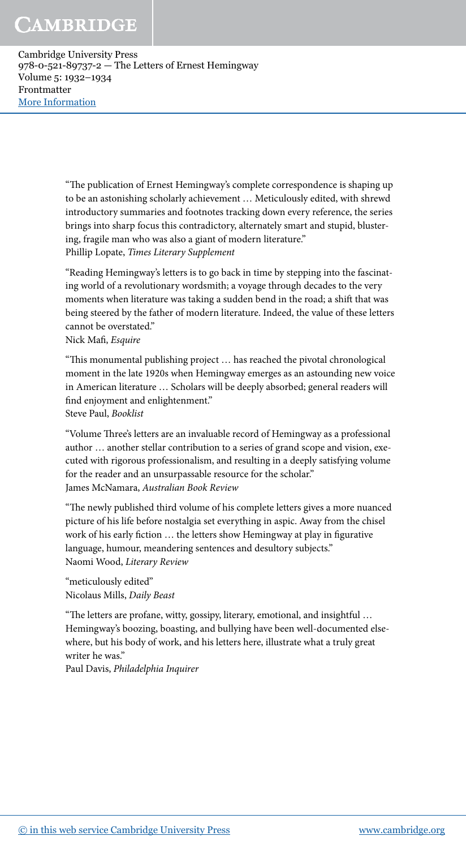Cambridge University Press 978-0-521-89737-2 — The Letters of Ernest Hemingway Volume 5: 1932–1934 Frontmatter [More Information](www.cambridge.org/9780521897372)

> "he publication of Ernest Hemingway's complete correspondence is shaping up to be an astonishing scholarly achievement … Meticulously edited, with shrewd introductory summaries and footnotes tracking down every reference, the series brings into sharp focus this contradictory, alternately smart and stupid, blustering, fragile man who was also a giant of modern literature." Phillip Lopate, Times Literary Supplement

> "Reading Hemingway's letters is to go back in time by stepping into the fascinating world of a revolutionary wordsmith; a voyage through decades to the very moments when literature was taking a sudden bend in the road; a shift that was being steered by the father of modern literature. Indeed, the value of these letters cannot be overstated."

### Nick Mafi, Esquire

"his monumental publishing project … has reached the pivotal chronological moment in the late 1920s when Hemingway emerges as an astounding new voice in American literature … Scholars will be deeply absorbed; general readers will find enjoyment and enlightenment." Steve Paul, Booklist

"Volume Three's letters are an invaluable record of Hemingway as a professional author … another stellar contribution to a series of grand scope and vision, executed with rigorous professionalism, and resulting in a deeply satisfying volume for the reader and an unsurpassable resource for the scholar." James McNamara, Australian Book Review

"he newly published third volume of his complete letters gives a more nuanced picture of his life before nostalgia set everything in aspic. Away from the chisel work of his early fiction ... the letters show Hemingway at play in figurative language, humour, meandering sentences and desultory subjects." Naomi Wood, Literary Review

"meticulously edited" Nicolaus Mills, Daily Beast

"he letters are profane, witty, gossipy, literary, emotional, and insightful … Hemingway's boozing, boasting, and bullying have been well-documented elsewhere, but his body of work, and his letters here, illustrate what a truly great writer he was."

Paul Davis, Philadelphia Inquirer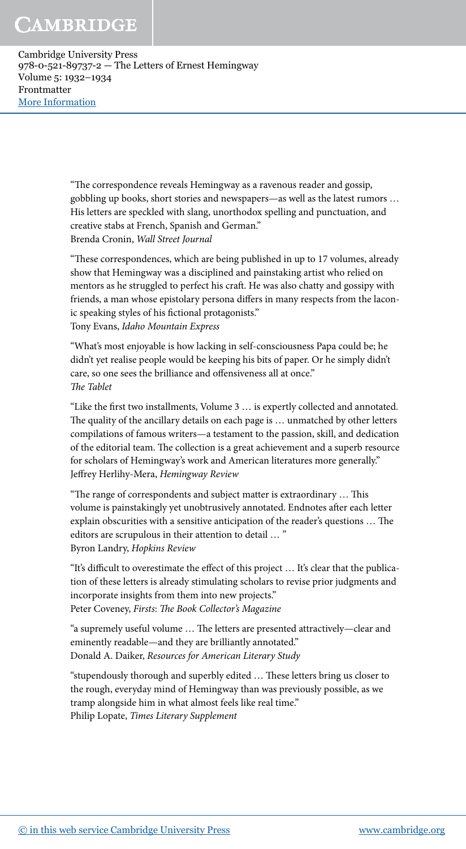Cambridge University Press 978-0-521-89737-2 — The Letters of Ernest Hemingway Volume 5: 1932–1934 Frontmatter [More Information](www.cambridge.org/9780521897372)

> "he correspondence reveals Hemingway as a ravenous reader and gossip, gobbling up books, short stories and newspapers—as well as the latest rumors … His letters are speckled with slang, unorthodox spelling and punctuation, and creative stabs at French, Spanish and German." Brenda Cronin, Wall Street Journal

> "hese correspondences, which are being published in up to 17 volumes, already show that Hemingway was a disciplined and painstaking artist who relied on mentors as he struggled to perfect his crat. He was also chatty and gossipy with friends, a man whose epistolary persona difers in many respects from the laconic speaking styles of his fictional protagonists." Tony Evans, Idaho Mountain Express

"What's most enjoyable is how lacking in self-consciousness Papa could be; he didn't yet realise people would be keeping his bits of paper. Or he simply didn't care, so one sees the brilliance and offensiveness all at once." he Tablet

"Like the first two installments, Volume 3 ... is expertly collected and annotated. The quality of the ancillary details on each page is ... unmatched by other letters compilations of famous writers—a testament to the passion, skill, and dedication of the editorial team. The collection is a great achievement and a superb resource for scholars of Hemingway's work and American literatures more generally." Jefrey Herlihy-Mera, Hemingway Review

"The range of correspondents and subject matter is extraordinary ... This volume is painstakingly yet unobtrusively annotated. Endnotes ater each letter explain obscurities with a sensitive anticipation of the reader's questions ... The editors are scrupulous in their attention to detail … " Byron Landry, Hopkins Review

"It's difficult to overestimate the effect of this project ... It's clear that the publication of these letters is already stimulating scholars to revise prior judgments and incorporate insights from them into new projects." Peter Coveney, Firsts: The Book Collector's Magazine

"a supremely useful volume ... The letters are presented attractively-clear and eminently readable—and they are brilliantly annotated." Donald A. Daiker, Resources for American Literary Study

"stupendously thorough and superbly edited ... These letters bring us closer to the rough, everyday mind of Hemingway than was previously possible, as we tramp alongside him in what almost feels like real time." Philip Lopate, Times Literary Supplement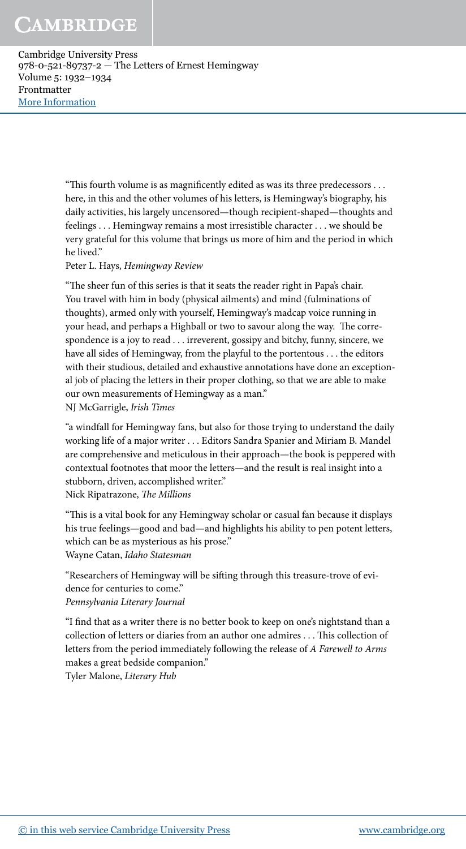Cambridge University Press 978-0-521-89737-2 — The Letters of Ernest Hemingway Volume 5: 1932–1934 Frontmatter [More Information](www.cambridge.org/9780521897372)

> "This fourth volume is as magnificently edited as was its three predecessors . . . here, in this and the other volumes of his letters, is Hemingway's biography, his daily activities, his largely uncensored—though recipient-shaped—thoughts and feelings . . . Hemingway remains a most irresistible character . . . we should be very grateful for this volume that brings us more of him and the period in which he lived."

Peter L. Hays, Hemingway Review

"he sheer fun of this series is that it seats the reader right in Papa's chair. You travel with him in body (physical ailments) and mind (fulminations of thoughts), armed only with yourself, Hemingway's madcap voice running in your head, and perhaps a Highball or two to savour along the way. The correspondence is a joy to read . . . irreverent, gossipy and bitchy, funny, sincere, we have all sides of Hemingway, from the playful to the portentous . . . the editors with their studious, detailed and exhaustive annotations have done an exceptional job of placing the letters in their proper clothing, so that we are able to make our own measurements of Hemingway as a man." NJ McGarrigle, Irish Times

"a windfall for Hemingway fans, but also for those trying to understand the daily working life of a major writer . . . Editors Sandra Spanier and Miriam B. Mandel are comprehensive and meticulous in their approach—the book is peppered with contextual footnotes that moor the letters—and the result is real insight into a stubborn, driven, accomplished writer." Nick Ripatrazone, The Millions

"his is a vital book for any Hemingway scholar or casual fan because it displays his true feelings—good and bad—and highlights his ability to pen potent letters, which can be as mysterious as his prose." Wayne Catan, Idaho Statesman

"Researchers of Hemingway will be siting through this treasure-trove of evidence for centuries to come." Pennsylvania Literary Journal

"I find that as a writer there is no better book to keep on one's nightstand than a collection of letters or diaries from an author one admires . . . This collection of letters from the period immediately following the release of A Farewell to Arms makes a great bedside companion."

Tyler Malone, Literary Hub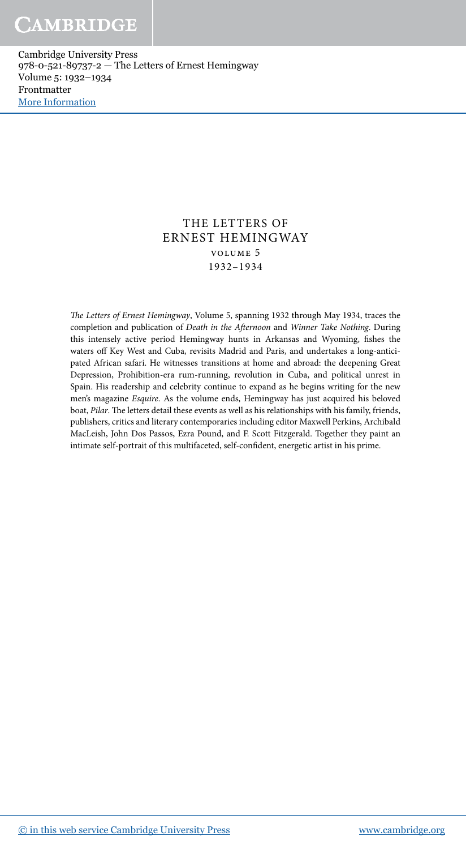## THE LETTERS OF ERNEST HEMINGWAY volume 5 1932–1934

The Letters of Ernest Hemingway, Volume 5, spanning 1932 through May 1934, traces the completion and publication of Death in the Aternoon and Winner Take Nothing. During this intensely active period Hemingway hunts in Arkansas and Wyoming, fishes the waters off Key West and Cuba, revisits Madrid and Paris, and undertakes a long-anticipated African safari. He witnesses transitions at home and abroad: the deepening Great Depression, Prohibition-era rum-running, revolution in Cuba, and political unrest in Spain. His readership and celebrity continue to expand as he begins writing for the new men's magazine Esquire. As the volume ends, Hemingway has just acquired his beloved boat, Pilar. The letters detail these events as well as his relationships with his family, friends, publishers, critics and literary contemporaries including editor Maxwell Perkins, Archibald MacLeish, John Dos Passos, Ezra Pound, and F. Scott Fitzgerald. Together they paint an intimate self-portrait of this multifaceted, self-confident, energetic artist in his prime.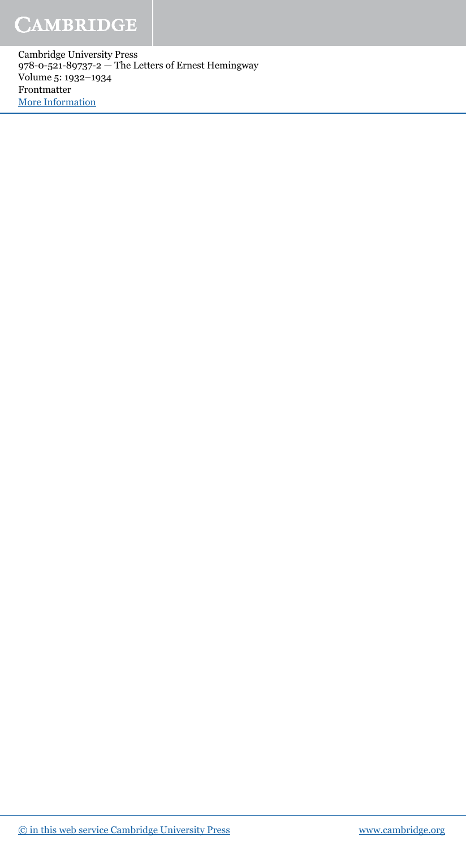Cambridge University Press 978-0-521-89737-2 — The Letters of Ernest Hemingway Volume 5: 1932–1934 Frontmatter [More Information](www.cambridge.org/9780521897372)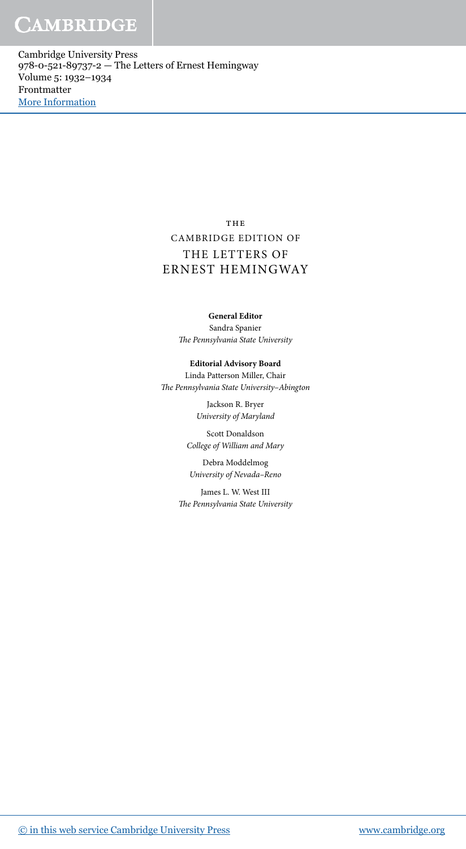Cambridge University Press 978-0-521-89737-2 — The Letters of Ernest Hemingway Volume 5: 1932–1934 Frontmatter [More Information](www.cambridge.org/9780521897372)

> THE CAMBRIDGE EDITION OF THE LETTERS OF ERNEST HEMINGWAY

#### **General Editor** Sandra Spanier he Pennsylvania State University

**Editorial Advisory Board** Linda Patterson Miller, Chair

he Pennsylvania State University–Abington

Jackson R. Bryer University of Maryland

Scott Donaldson College of William and Mary

Debra Moddelmog University of Nevada–Reno

James L. W. West III he Pennsylvania State University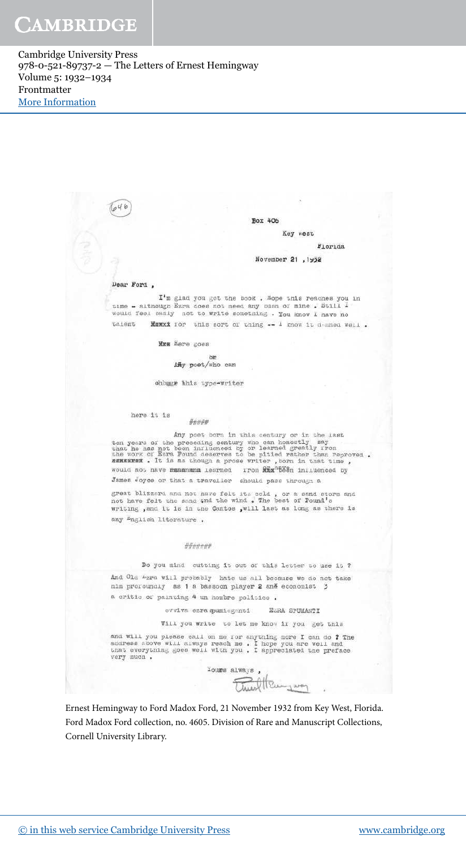Cambridge University Press 978-0-521-89737-2 — The Letters of Ernest Hemingway Volume 5: 1932–1934 Frontmatter [More Information](www.cambridge.org/9780521897372)

> $046$ Box 406 Key west Florida November 21, 1952 Dear Ford, I'm glad you got the book. Hope this reaches you in although Ezra does not need any bush of mine. Still I  $time$ would feel padly not to write something. You know I have no **Laient** Manxx for this sort of thing -- I know it demned well. **Mrs** Here goes on Any poet/who can ohbugg hhis type-writer here it is ##### Any poet born in this century or in the last any poet born in this century or in the last<br>the preceding century who can homestly say<br>that he has not been influenced by or learned greatly iron<br>the work of Ezra Pound deserves to be pitted rather than reproved.<br>**SERENTE** would not have mananana learned from  $\frac{1}{2}$  The number of by James Joyce or that a traveller should pass through great blizzerd and not have felt its cold, or a sand storm and not have felt the sand and the wind. The best of Pound's writing , and it is in the Cantos , will last as long as there is any English literature.  $\# \# \# \# \# \# \#$ Do you mind cutting it out of this letter to use it ? And Old Azra will probably hate us all because we do not take nim proroundly as 1 a bassoon player 2 and economist 3 a critic or painting 4 un hombre politico. evviva ezra mumieganti EZRA SPUMANTI

> > Will you write to let me know if you get this

and will you please call on me for anything more I can do  $?$  The address above will always reach me . I hope you are well and that everything goes well with you . I appreciated the preface very much .

rouse always.

Ernest Hemingway to Ford Madox Ford, 21 November 1932 from Key West, Florida. Ford Madox Ford collection, no. 4605. Division of Rare and Manuscript Collections, Cornell University Library.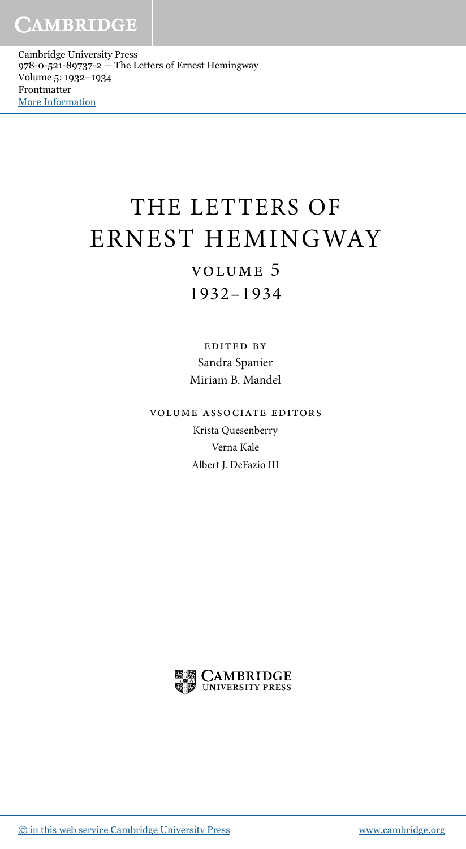# THE LETTERS OF ERNEST HEMINGWAY

## volume 5 1932–1934

edited by Sandra Spanier Miriam B. Mandel

volume associate editors

Krista Quesenberry Verna Kale Albert J. DeFazio III

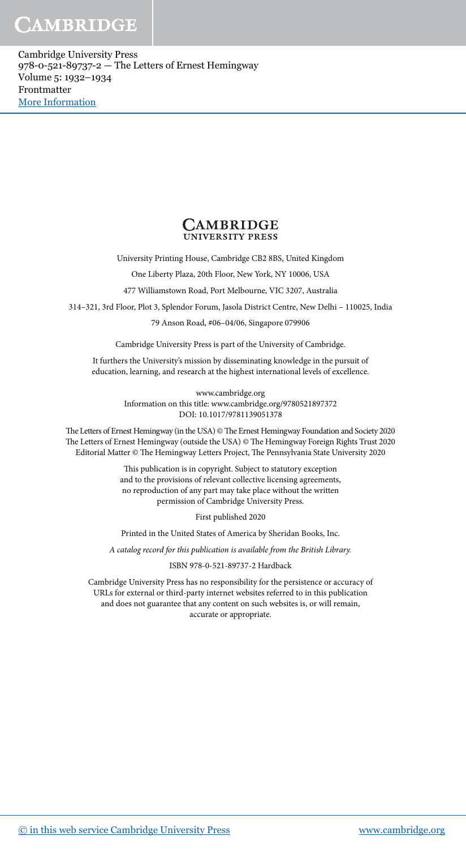### **CAMBRIDGE** UNIVERSITY PRESS

University Printing House, Cambridge CB2 8BS, United Kingdom

One Liberty Plaza, 20th Floor, New York, NY 10006, USA

477 Williamstown Road, Port Melbourne, VIC 3207, Australia

314–321, 3rd Floor, Plot 3, Splendor Forum, Jasola District Centre, New Delhi – 110025, India

79 Anson Road, #06–04/06, Singapore 079906

Cambridge University Press is part of the University of Cambridge.

It furthers the University's mission by disseminating knowledge in the pursuit of education, learning, and research at the highest international levels of excellence.

> www.cambridge.org Information on this title: www.cambridge.org/9780521897372 DOI: 10.1017/9781139051378

The Letters of Ernest Hemingway (in the USA) © The Ernest Hemingway Foundation and Society 2020 The Letters of Ernest Hemingway (outside the USA) © The Hemingway Foreign Rights Trust 2020 Editorial Matter © The Hemingway Letters Project, The Pennsylvania State University 2020

> This publication is in copyright. Subject to statutory exception and to the provisions of relevant collective licensing agreements, no reproduction of any part may take place without the written permission of Cambridge University Press.

> > First published 2020

Printed in the United States of America by Sheridan Books, Inc.

A catalog record for this publication is available from the British Library.

ISBN 978-0-521-89737-2 Hardback

Cambridge University Press has no responsibility for the persistence or accuracy of URLs for external or third-party internet websites referred to in this publication and does not guarantee that any content on such websites is, or will remain, accurate or appropriate.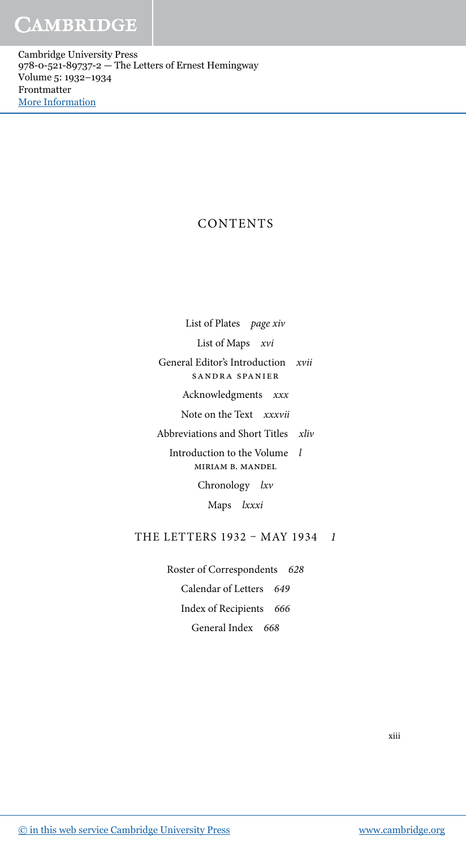## **CONTENTS**

List of Plates page xiv List of Maps xvi General Editor's Introduction xvii sandra spanier Acknowledgments xxx Note on the Text *xxxvii* Abbreviations and Short Titles xliv Introduction to the Volume  $l$ miriam b. mandel Chronology  $lxv$ Maps lxxxi

### THE LETTERS 1932 – MAY 1934 1

Roster of Correspondents 628 Calendar of Letters 649 Index of Recipients 666 General Index 668

xiii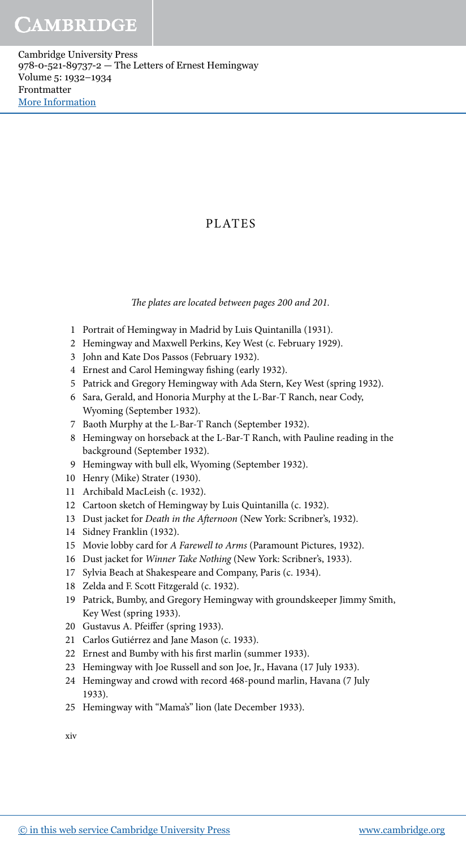## PLATES

### he plates are located between pages 200 and 201.

- 1 Portrait of Hemingway in Madrid by Luis Quintanilla (1931).
- 2 Hemingway and Maxwell Perkins, Key West (c. February 1929).
- 3 John and Kate Dos Passos (February 1932).
- 4 Ernest and Carol Hemingway fishing (early 1932).
- 5 Patrick and Gregory Hemingway with Ada Stern, Key West (spring 1932).
- 6 Sara, Gerald, and Honoria Murphy at the L-Bar-T Ranch, near Cody, Wyoming (September 1932).
- 7 Baoth Murphy at the L-Bar-T Ranch (September 1932).
- 8 Hemingway on horseback at the L-Bar-T Ranch, with Pauline reading in the background (September 1932).
- 9 Hemingway with bull elk, Wyoming (September 1932).
- 10 Henry (Mike) Strater (1930).
- 11 Archibald MacLeish (c. 1932).
- 12 Cartoon sketch of Hemingway by Luis Quintanilla (c. 1932).
- 13 Dust jacket for Death in the Afternoon (New York: Scribner's, 1932).
- 14 Sidney Franklin (1932).
- 15 Movie lobby card for A Farewell to Arms (Paramount Pictures, 1932).
- 16 Dust jacket for Winner Take Nothing (New York: Scribner's, 1933).
- 17 Sylvia Beach at Shakespeare and Company, Paris (c. 1934).
- 18 Zelda and F. Scott Fitzgerald (c. 1932).
- 19 Patrick, Bumby, and Gregory Hemingway with groundskeeper Jimmy Smith, Key West (spring 1933).
- 20 Gustavus A. Pfeifer (spring 1933).
- 21 Carlos Gutiérrez and Jane Mason (c. 1933).
- 22 Ernest and Bumby with his first marlin (summer 1933).
- 23 Hemingway with Joe Russell and son Joe, Jr., Havana (17 July 1933).
- 24 Hemingway and crowd with record 468-pound marlin, Havana (7 July 1933).
- 25 Hemingway with "Mama's" lion (late December 1933).

xiv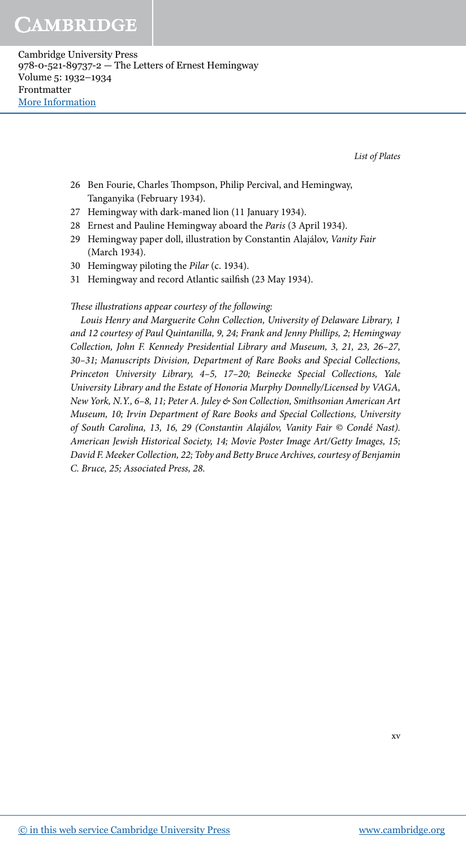Cambridge University Press 978-0-521-89737-2 — The Letters of Ernest Hemingway Volume 5: 1932–1934 Frontmatter [More Information](www.cambridge.org/9780521897372)

List of Plates

- 26 Ben Fourie, Charles Thompson, Philip Percival, and Hemingway, Tanganyika (February 1934).
- 27 Hemingway with dark-maned lion (11 January 1934).
- 28 Ernest and Pauline Hemingway aboard the Paris (3 April 1934).
- 29 Hemingway paper doll, illustration by Constantin Alajálov, Vanity Fair (March 1934).
- 30 Hemingway piloting the Pilar (c. 1934).
- 31 Hemingway and record Atlantic sailish (23 May 1934).

### hese illustrations appear courtesy of the following:

Louis Henry and Marguerite Cohn Collection, University of Delaware Library, 1 and 12 courtesy of Paul Quintanilla, 9, 24; Frank and Jenny Phillips, 2; Hemingway Collection, John F. Kennedy Presidential Library and Museum, 3, 21, 23, 26–27, 30–31; Manuscripts Division, Department of Rare Books and Special Collections, Princeton University Library, 4–5, 17–20; Beinecke Special Collections, Yale University Library and the Estate of Honoria Murphy Donnelly/Licensed by VAGA, New York, N.Y., 6–8, 11; Peter A. Juley & Son Collection, Smithsonian American Art Museum, 10; Irvin Department of Rare Books and Special Collections, University of South Carolina, 13, 16, 29 (Constantin Alajálov, Vanity Fair © Condé Nast). American Jewish Historical Society, 14; Movie Poster Image Art/Getty Images, 15; David F. Meeker Collection, 22; Toby and Betty Bruce Archives, courtesy of Benjamin C. Bruce, 25; Associated Press, 28.